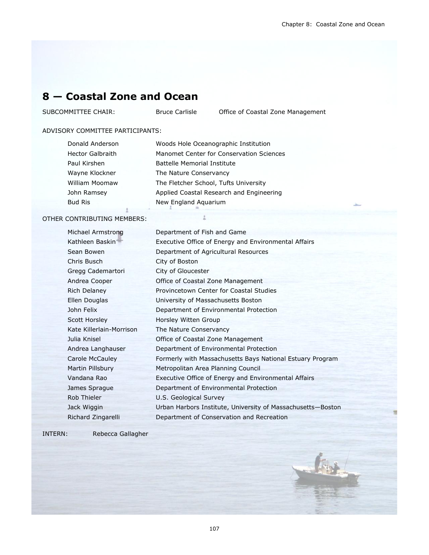From

# **8 — Coastal Zone and Ocean**

SUBCOMMITTEE CHAIR: Bruce Carlisle Office of Coastal Zone Management

#### ADVISORY COMMITTEE PARTICIPANTS:

| Donald Anderson  | Woods Hole Oceanographic Institution     |  |
|------------------|------------------------------------------|--|
| Hector Galbraith | Manomet Center for Conservation Sciences |  |
| Paul Kirshen     | <b>Battelle Memorial Institute</b>       |  |
| Wayne Klockner   | The Nature Conservancy                   |  |
| William Moomaw   | The Fletcher School, Tufts University    |  |
| John Ramsey      | Applied Coastal Research and Engineering |  |
| <b>Bud Ris</b>   | New England Aquarium                     |  |

#### OTHER CONTRIBUTING MEMBERS:

| Michael Armstrong        | Department of Fish and Game                                 |
|--------------------------|-------------------------------------------------------------|
| Kathleen Baskin          | Executive Office of Energy and Environmental Affairs        |
| Sean Bowen               | Department of Agricultural Resources                        |
| Chris Busch              | City of Boston                                              |
| Gregg Cademartori        | City of Gloucester                                          |
| Andrea Cooper            | Office of Coastal Zone Management                           |
| <b>Rich Delaney</b>      | Provincetown Center for Coastal Studies                     |
| Ellen Douglas            | University of Massachusetts Boston                          |
| John Felix               | Department of Environmental Protection                      |
| <b>Scott Horsley</b>     | Horsley Witten Group                                        |
| Kate Killerlain-Morrison | The Nature Conservancy                                      |
| Julia Knisel             | Office of Coastal Zone Management                           |
| Andrea Langhauser        | Department of Environmental Protection                      |
| Carole McCauley          | Formerly with Massachusetts Bays National Estuary Program   |
| Martin Pillsbury         | Metropolitan Area Planning Council                          |
| Vandana Rao              | Executive Office of Energy and Environmental Affairs        |
| James Sprague            | Department of Environmental Protection                      |
| Rob Thieler              | U.S. Geological Survey                                      |
| Jack Wiggin              | Urban Harbors Institute, University of Massachusetts-Boston |
| Richard Zingarelli       | Department of Conservation and Recreation                   |
|                          |                                                             |

INTERN: Rebecca Gallagher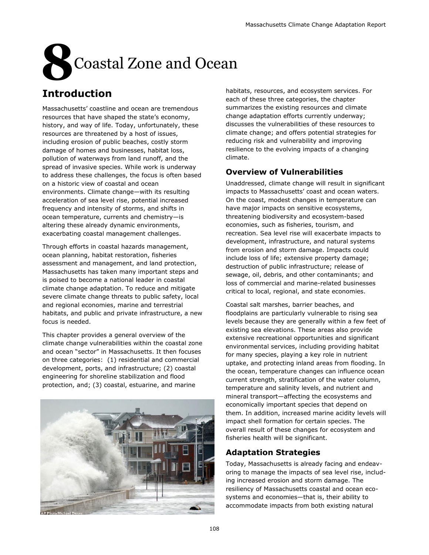# **8**Coastal Zone and Ocean

# **Introduction**

Massachusetts' coastline and ocean are tremendous resources that have shaped the state's economy, history, and way of life. Today, unfortunately, these resources are threatened by a host of issues, including erosion of public beaches, costly storm damage of homes and businesses, habitat loss, pollution of waterways from land runoff, and the spread of invasive species. While work is underway to address these challenges, the focus is often based on a historic view of coastal and ocean environments. Climate change—with its resulting acceleration of sea level rise, potential increased frequency and intensity of storms, and shifts in ocean temperature, currents and chemistry—is altering these already dynamic environments, exacerbating coastal management challenges.

Through efforts in coastal hazards management, ocean planning, habitat restoration, fisheries assessment and management, and land protection, Massachusetts has taken many important steps and is poised to become a national leader in coastal climate change adaptation. To reduce and mitigate severe climate change threats to public safety, local and regional economies, marine and terrestrial habitats, and public and private infrastructure, a new focus is needed.

This chapter provides a general overview of the climate change vulnerabilities within the coastal zone and ocean "sector" in Massachusetts. It then focuses on three categories: (1) residential and commercial development, ports, and infrastructure; (2) coastal engineering for shoreline stabilization and flood protection, and; (3) coastal, estuarine, and marine



habitats, resources, and ecosystem services. For each of these three categories, the chapter summarizes the existing resources and climate change adaptation efforts currently underway; discusses the vulnerabilities of these resources to climate change; and offers potential strategies for reducing risk and vulnerability and improving resilience to the evolving impacts of a changing climate.

# **Overview of Vulnerabilities**

Unaddressed, climate change will result in significant impacts to Massachusetts' coast and ocean waters. On the coast, modest changes in temperature can have major impacts on sensitive ecosystems, threatening biodiversity and ecosystem-based economies, such as fisheries, tourism, and recreation. Sea level rise will exacerbate impacts to development, infrastructure, and natural systems from erosion and storm damage. Impacts could include loss of life; extensive property damage; destruction of public infrastructure; release of sewage, oil, debris, and other contaminants; and loss of commercial and marine-related businesses critical to local, regional, and state economies.

Coastal salt marshes, barrier beaches, and floodplains are particularly vulnerable to rising sea levels because they are generally within a few feet of existing sea elevations. These areas also provide extensive recreational opportunities and significant environmental services, including providing habitat for many species, playing a key role in nutrient uptake, and protecting inland areas from flooding. In the ocean, temperature changes can influence ocean current strength, stratification of the water column, temperature and salinity levels, and nutrient and mineral transport—affecting the ecosystems and economically important species that depend on them. In addition, increased marine acidity levels will impact shell formation for certain species. The overall result of these changes for ecosystem and fisheries health will be significant.

# **Adaptation Strategies**

Today, Massachusetts is already facing and endeavoring to manage the impacts of sea level rise, including increased erosion and storm damage. The resiliency of Massachusetts coastal and ocean ecosystems and economies—that is, their ability to accommodate impacts from both existing natural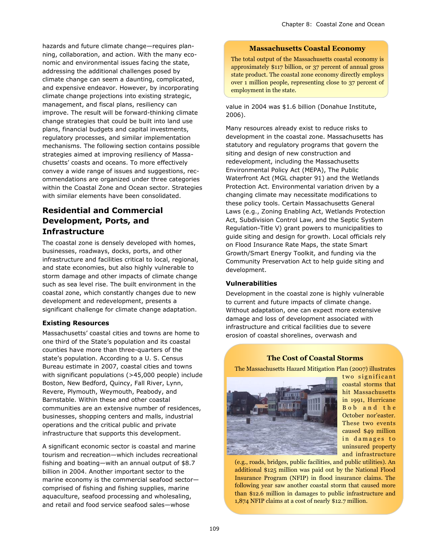hazards and future climate change—requires planning, collaboration, and action. With the many economic and environmental issues facing the state, addressing the additional challenges posed by climate change can seem a daunting, complicated, and expensive endeavor. However, by incorporating climate change projections into existing strategic, management, and fiscal plans, resiliency can improve. The result will be forward-thinking climate change strategies that could be built into land use plans, financial budgets and capital investments, regulatory processes, and similar implementation mechanisms. The following section contains possible strategies aimed at improving resiliency of Massachusetts' coasts and oceans. To more effectively convey a wide range of issues and suggestions, recommendations are organized under three categories within the Coastal Zone and Ocean sector. Strategies with similar elements have been consolidated.

# **Residential and Commercial Development, Ports, and Infrastructure**

The coastal zone is densely developed with homes, businesses, roadways, docks, ports, and other infrastructure and facilities critical to local, regional, and state economies, but also highly vulnerable to storm damage and other impacts of climate change such as sea level rise. The built environment in the coastal zone, which constantly changes due to new development and redevelopment, presents a significant challenge for climate change adaptation.

#### **Existing Resources**

Massachusetts' coastal cities and towns are home to one third of the State's population and its coastal counties have more than three-quarters of the state's population. According to a U. S. Census Bureau estimate in 2007, coastal cities and towns with significant populations (>45,000 people) include Boston, New Bedford, Quincy, Fall River, Lynn, Revere, Plymouth, Weymouth, Peabody, and Barnstable. Within these and other coastal communities are an extensive number of residences, businesses, shopping centers and malls, industrial operations and the critical public and private infrastructure that supports this development.

A significant economic sector is coastal and marine tourism and recreation—which includes recreational fishing and boating—with an annual output of \$8.7 billion in 2004. Another important sector to the marine economy is the commercial seafood sector comprised of fishing and fishing supplies, marine aquaculture, seafood processing and wholesaling, and retail and food service seafood sales—whose

#### **Massachusetts Coastal Economy**

The total output of the Massachusetts coastal economy is approximately \$117 billion, or 37 percent of annual gross state product. The coastal zone economy directly employs over 1 million people, representing close to 37 percent of employment in the state.

value in 2004 was \$1.6 billion (Donahue Institute, 2006).

Many resources already exist to reduce risks to development in the coastal zone. Massachusetts has statutory and regulatory programs that govern the siting and design of new construction and redevelopment, including the Massachusetts Environmental Policy Act (MEPA), The Public Waterfront Act (MGL chapter 91) and the Wetlands Protection Act. Environmental variation driven by a changing climate may necessitate modifications to these policy tools. Certain Massachusetts General Laws (e.g., Zoning Enabling Act, Wetlands Protection Act, Subdivision Control Law, and the Septic System Regulation-Title V) grant powers to municipalities to guide siting and design for growth. Local officials rely on Flood Insurance Rate Maps, the state Smart Growth/Smart Energy Toolkit, and funding via the Community Preservation Act to help guide siting and development.

#### **Vulnerabilities**

Development in the coastal zone is highly vulnerable to current and future impacts of climate change. Without adaptation, one can expect more extensive damage and loss of development associated with infrastructure and critical facilities due to severe erosion of coastal shorelines, overwash and

#### **The Cost of Coastal Storms**

The Massachusetts Hazard Mitigation Plan (2007) illustrates



two significant coastal storms that hit Massachusetts in 1991, Hurricane B o b a n d t h e October nor'easter. These two events caused \$49 million in damages to uninsured property and infrastructure

(e.g., roads, bridges, public facilities, and public utilities). An additional \$125 million was paid out by the National Flood Insurance Program (NFIP) in flood insurance claims. The following year saw another coastal storm that caused more than \$12.6 million in damages to public infrastructure and 1,874 NFIP claims at a cost of nearly \$12.7 million.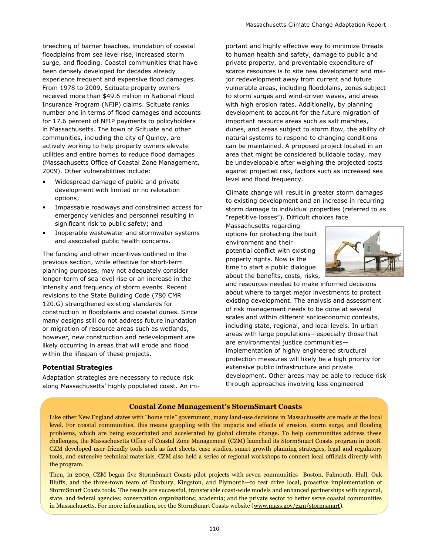breeching of barrier beaches, inundation of coastal floodplains from sea level rise, increased storm surge, and flooding. Coastal communities that have been densely developed for decades already experience frequent and expensive flood damages. From 1978 to 2009, Scituate property owners received more than \$49.6 million in National Flood Insurance Program (NFIP) claims. Scituate ranks number one in terms of flood damages and accounts for 17.6 percent of NFIP payments to policyholders in Massachusetts. The town of Scituate and other communities, including the city of Quincy, are actively working to help property owners elevate utilities and entire homes to reduce flood damages (Massachusetts Office of Coastal Zone Management, 2009). Other vulnerabilities include:

- Widespread damage of public and private development with limited or no relocation options;
- Impassable roadways and constrained access for emergency vehicles and personnel resulting in significant risk to public safety; and
- Inoperable wastewater and stormwater systems and associated public health concerns.

The funding and other incentives outlined in the previous section, while effective for short-term planning purposes, may not adequately consider longer-term of sea level rise or an increase in the intensity and frequency of storm events. Recent revisions to the State Building Code (780 CMR 120.G) strengthened existing standards for construction in floodplains and coastal dunes. Since many designs still do not address future inundation or migration of resource areas such as wetlands, however, new construction and redevelopment are likely occurring in areas that will erode and flood within the lifespan of these projects.

#### **Potential Strategies**

Adaptation strategies are necessary to reduce risk along Massachusetts' highly populated coast. An im-

portant and highly effective way to minimize threats to human health and safety, damage to public and private property, and preventable expenditure of scarce resources is to site new development and major redevelopment away from current and future vulnerable areas, including floodplains, zones subject to storm surges and wind-driven waves, and areas with high erosion rates. Additionally, by planning development to account for the future migration of important resource areas such as salt marshes, dunes, and areas subject to storm flow, the ability of natural systems to respond to changing conditions can be maintained. A proposed project located in an area that might be considered buildable today, may be undevelopable after weighing the projected costs against projected risk, factors such as increased sea level and flood frequency.

Climate change will result in greater storm damages to existing development and an increase in recurring storm damage to individual properties (referred to as ―repetitive losses‖). Difficult choices face

Massachusetts regarding options for protecting the built environment and their potential conflict with existing property rights. Now is the time to start a public dialogue about the benefits, costs, risks,



and resources needed to make informed decisions about where to target major investments to protect existing development. The analysis and assessment of risk management needs to be done at several scales and within different socioeconomic contexts, including state, regional, and local levels. In urban areas with large populations—especially those that are environmental justice communities implementation of highly engineered structural protection measures will likely be a high priority for extensive public infrastructure and private development. Other areas may be able to reduce risk through approaches involving less engineered

#### **Coastal Zone Management's StormSmart Coasts**

Like other New England states with "home rule" government, many land-use decisions in Massachusetts are made at the local level. For coastal communities, this means grappling with the impacts and effects of erosion, storm surge, and flooding problems, which are being exacerbated and accelerated by global climate change. To help communities address these challenges, the Massachusetts Office of Coastal Zone Management (CZM) launched its StormSmart Coasts program in 2008. CZM developed user-friendly tools such as fact sheets, case studies, smart growth planning strategies, legal and regulatory tools, and extensive technical materials. CZM also held a series of regional workshops to connect local officials directly with the program.

Then, in 2009, CZM began five StormSmart Coasts pilot projects with seven communities—Boston, Falmouth, Hull, Oak Bluffs, and the three-town team of Duxbury, Kingston, and Plymouth—to test drive local, proactive implementation of StormSmart Coasts tools. The results are successful, transferable coast-wide models and enhanced partnerships with regional, state, and federal agencies; conservation organizations; academia; and the private sector to better serve coastal communities in Massachusetts. For more information, see the StormSmart Coasts website [\(www.mass.gov/czm/stormsmart\)](http://www.mass.gov/czm/stormsmart/).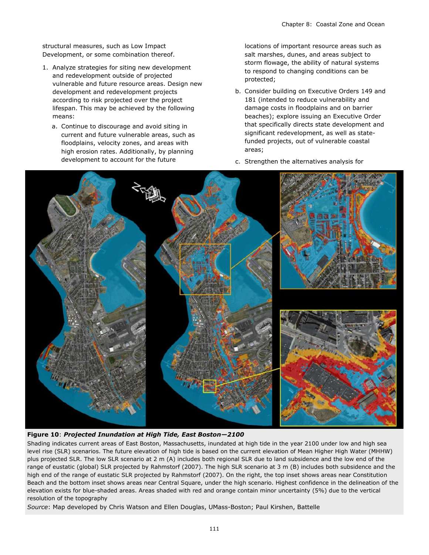structural measures, such as Low Impact Development, or some combination thereof.

- 1. Analyze strategies for siting new development and redevelopment outside of projected vulnerable and future resource areas. Design new development and redevelopment projects according to risk projected over the project lifespan. This may be achieved by the following means:
	- a. Continue to discourage and avoid siting in current and future vulnerable areas, such as floodplains, velocity zones, and areas with high erosion rates. Additionally, by planning development to account for the future

locations of important resource areas such as salt marshes, dunes, and areas subject to storm flowage, the ability of natural systems to respond to changing conditions can be protected;

- b. Consider building on Executive Orders 149 and 181 (intended to reduce vulnerability and damage costs in floodplains and on barrier beaches); explore issuing an Executive Order that specifically directs state development and significant redevelopment, as well as statefunded projects, out of vulnerable coastal areas;
- c. Strengthen the alternatives analysis for



#### **Figure 10**: *Projected Inundation at High Tide, East Boston—2100*

Shading indicates current areas of East Boston, Massachusetts, inundated at high tide in the year 2100 under low and high sea level rise (SLR) scenarios. The future elevation of high tide is based on the current elevation of Mean Higher High Water (MHHW) plus projected SLR. The low SLR scenario at 2 m (A) includes both regional SLR due to land subsidence and the low end of the range of eustatic (global) SLR projected by Rahmstorf (2007). The high SLR scenario at 3 m (B) includes both subsidence and the high end of the range of eustatic SLR projected by Rahmstorf (2007). On the right, the top inset shows areas near Constitution Beach and the bottom inset shows areas near Central Square, under the high scenario. Highest confidence in the delineation of the elevation exists for blue-shaded areas. Areas shaded with red and orange contain minor uncertainty (5%) due to the vertical resolution of the topography

*Source*: Map developed by Chris Watson and Ellen Douglas, UMass-Boston; Paul Kirshen, Battelle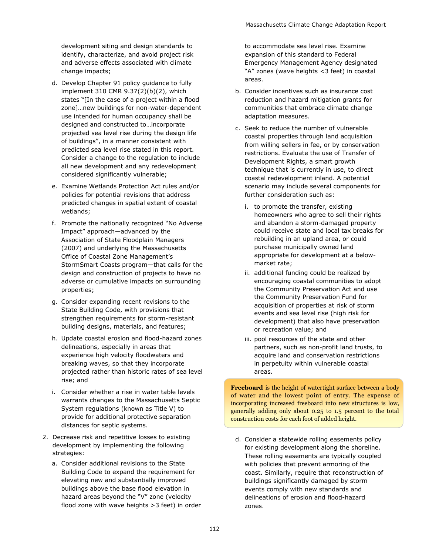development siting and design standards to identify, characterize, and avoid project risk and adverse effects associated with climate change impacts;

- d. Develop Chapter 91 policy guidance to fully implement 310 CMR 9.37(2)(b)(2), which states "[In the case of a project within a flood zone]…new buildings for non-water-dependent use intended for human occupancy shall be designed and constructed to…incorporate projected sea level rise during the design life of buildings", in a manner consistent with predicted sea level rise stated in this report. Consider a change to the regulation to include all new development and any redevelopment considered significantly vulnerable;
- e. Examine Wetlands Protection Act rules and/or policies for potential revisions that address predicted changes in spatial extent of coastal wetlands;
- f. Promote the nationally recognized "No Adverse Impact" approach—advanced by the Association of State Floodplain Managers (2007) and underlying the Massachusetts Office of Coastal Zone Management's StormSmart Coasts program—that calls for the design and construction of projects to have no adverse or cumulative impacts on surrounding properties;
- g. Consider expanding recent revisions to the State Building Code, with provisions that strengthen requirements for storm-resistant building designs, materials, and features;
- h. Update coastal erosion and flood-hazard zones delineations, especially in areas that experience high velocity floodwaters and breaking waves, so that they incorporate projected rather than historic rates of sea level rise; and
- i. Consider whether a rise in water table levels warrants changes to the Massachusetts Septic System regulations (known as Title V) to provide for additional protective separation distances for septic systems.
- 2. Decrease risk and repetitive losses to existing development by implementing the following strategies:
	- a. Consider additional revisions to the State Building Code to expand the requirement for elevating new and substantially improved buildings above the base flood elevation in hazard areas beyond the "V" zone (velocity flood zone with wave heights >3 feet) in order

to accommodate sea level rise. Examine expansion of this standard to Federal Emergency Management Agency designated "A" zones (wave heights <3 feet) in coastal areas.

- b. Consider incentives such as insurance cost reduction and hazard mitigation grants for communities that embrace climate change adaptation measures.
- c. Seek to reduce the number of vulnerable coastal properties through land acquisition from willing sellers in fee, or by conservation restrictions. Evaluate the use of Transfer of Development Rights, a smart growth technique that is currently in use, to direct coastal redevelopment inland. A potential scenario may include several components for further consideration such as:
	- i. to promote the transfer, existing homeowners who agree to sell their rights and abandon a storm-damaged property could receive state and local tax breaks for rebuilding in an upland area, or could purchase municipally owned land appropriate for development at a belowmarket rate;
	- ii. additional funding could be realized by encouraging coastal communities to adopt the Community Preservation Act and use the Community Preservation Fund for acquisition of properties at risk of storm events and sea level rise (high risk for development) that also have preservation or recreation value; and
	- iii. pool resources of the state and other partners, such as non-profit land trusts, to acquire land and conservation restrictions in perpetuity within vulnerable coastal areas.

**Freeboard** is the height of watertight surface between a body of water and the lowest point of entry. The expense of incorporating increased freeboard into new structures is low, generally adding only about 0.25 to 1.5 percent to the total construction costs for each foot of added height.

d. Consider a statewide rolling easements policy for existing development along the shoreline. These rolling easements are typically coupled with policies that prevent armoring of the coast. Similarly, require that reconstruction of buildings significantly damaged by storm events comply with new standards and delineations of erosion and flood-hazard zones.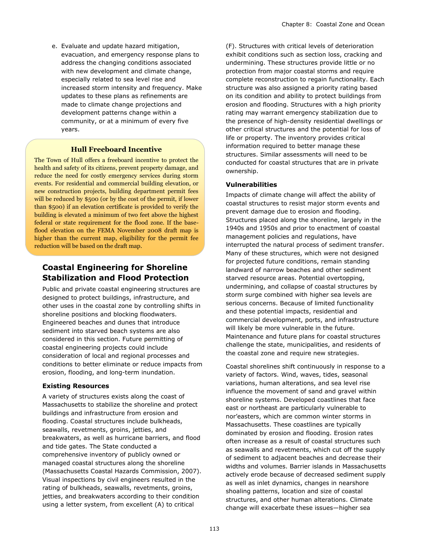e. Evaluate and update hazard mitigation, evacuation, and emergency response plans to address the changing conditions associated with new development and climate change, especially related to sea level rise and increased storm intensity and frequency. Make updates to these plans as refinements are made to climate change projections and development patterns change within a community, or at a minimum of every five years.

#### **Hull Freeboard Incentive**

The Town of Hull offers a freeboard incentive to protect the health and safety of its citizens, prevent property damage, and reduce the need for costly emergency services during storm events. For residential and commercial building elevation, or new construction projects, building department permit fees will be reduced by \$500 (or by the cost of the permit, if lower than \$500) if an elevation certificate is provided to verify the building is elevated a minimum of two feet above the highest federal or state requirement for the flood zone. If the baseflood elevation on the FEMA November 2008 draft map is higher than the current map, eligibility for the permit fee reduction will be based on the draft map.

### **Coastal Engineering for Shoreline Stabilization and Flood Protection**

Public and private coastal engineering structures are designed to protect buildings, infrastructure, and other uses in the coastal zone by controlling shifts in shoreline positions and blocking floodwaters. Engineered beaches and dunes that introduce sediment into starved beach systems are also considered in this section. Future permitting of coastal engineering projects could include consideration of local and regional processes and conditions to better eliminate or reduce impacts from erosion, flooding, and long-term inundation.

#### **Existing Resources**

A variety of structures exists along the coast of Massachusetts to stabilize the shoreline and protect buildings and infrastructure from erosion and flooding. Coastal structures include bulkheads, seawalls, revetments, groins, jetties, and breakwaters, as well as hurricane barriers, and flood and tide gates. The State conducted a comprehensive inventory of publicly owned or managed coastal structures along the shoreline (Massachusetts Coastal Hazards Commission, 2007). Visual inspections by civil engineers resulted in the rating of bulkheads, seawalls, revetments, groins, jetties, and breakwaters according to their condition using a letter system, from excellent (A) to critical

(F). Structures with critical levels of deterioration exhibit conditions such as section loss, cracking and undermining. These structures provide little or no protection from major coastal storms and require complete reconstruction to regain functionality. Each structure was also assigned a priority rating based on its condition and ability to protect buildings from erosion and flooding. Structures with a high priority rating may warrant emergency stabilization due to the presence of high-density residential dwellings or other critical structures and the potential for loss of life or property. The inventory provides critical information required to better manage these structures. Similar assessments will need to be conducted for coastal structures that are in private ownership.

#### **Vulnerabilities**

Impacts of climate change will affect the ability of coastal structures to resist major storm events and prevent damage due to erosion and flooding. Structures placed along the shoreline, largely in the 1940s and 1950s and prior to enactment of coastal management policies and regulations, have interrupted the natural process of sediment transfer. Many of these structures, which were not designed for projected future conditions, remain standing landward of narrow beaches and other sediment starved resource areas. Potential overtopping, undermining, and collapse of coastal structures by storm surge combined with higher sea levels are serious concerns. Because of limited functionality and these potential impacts, residential and commercial development, ports, and infrastructure will likely be more vulnerable in the future. Maintenance and future plans for coastal structures challenge the state, municipalities, and residents of the coastal zone and require new strategies.

Coastal shorelines shift continuously in response to a variety of factors. Wind, waves, tides, seasonal variations, human alterations, and sea level rise influence the movement of sand and gravel within shoreline systems. Developed coastlines that face east or northeast are particularly vulnerable to nor'easters, which are common winter storms in Massachusetts. These coastlines are typically dominated by erosion and flooding. Erosion rates often increase as a result of coastal structures such as seawalls and revetments, which cut off the supply of sediment to adjacent beaches and decrease their widths and volumes. Barrier islands in Massachusetts actively erode because of decreased sediment supply as well as inlet dynamics, changes in nearshore shoaling patterns, location and size of coastal structures, and other human alterations. Climate change will exacerbate these issues—higher sea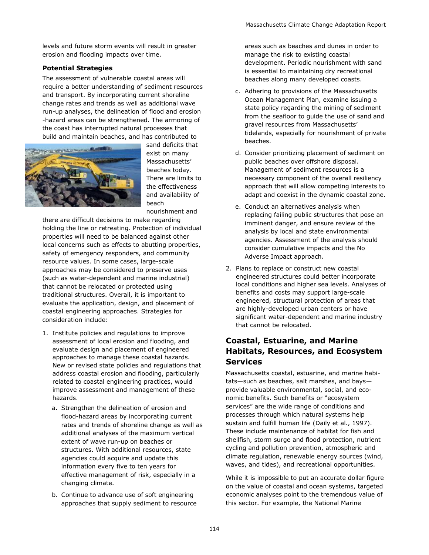levels and future storm events will result in greater erosion and flooding impacts over time.

#### **Potential Strategies**

The assessment of vulnerable coastal areas will require a better understanding of sediment resources and transport. By incorporating current shoreline change rates and trends as well as additional wave run-up analyses, the delineation of flood and erosion -hazard areas can be strengthened. The armoring of the coast has interrupted natural processes that build and maintain beaches, and has contributed to



sand deficits that exist on many Massachusetts' beaches today. There are limits to the effectiveness and availability of beach

nourishment and

there are difficult decisions to make regarding holding the line or retreating. Protection of individual properties will need to be balanced against other local concerns such as effects to abutting properties, safety of emergency responders, and community resource values. In some cases, large-scale approaches may be considered to preserve uses (such as water-dependent and marine industrial) that cannot be relocated or protected using traditional structures. Overall, it is important to evaluate the application, design, and placement of coastal engineering approaches. Strategies for consideration include:

- 1. Institute policies and regulations to improve assessment of local erosion and flooding, and evaluate design and placement of engineered approaches to manage these coastal hazards. New or revised state policies and regulations that address coastal erosion and flooding, particularly related to coastal engineering practices, would improve assessment and management of these hazards.
	- a. Strengthen the delineation of erosion and flood-hazard areas by incorporating current rates and trends of shoreline change as well as additional analyses of the maximum vertical extent of wave run-up on beaches or structures. With additional resources, state agencies could acquire and update this information every five to ten years for effective management of risk, especially in a changing climate.
	- b. Continue to advance use of soft engineering approaches that supply sediment to resource

areas such as beaches and dunes in order to manage the risk to existing coastal development. Periodic nourishment with sand is essential to maintaining dry recreational beaches along many developed coasts.

- c. Adhering to provisions of the Massachusetts Ocean Management Plan, examine issuing a state policy regarding the mining of sediment from the seafloor to guide the use of sand and gravel resources from Massachusetts' tidelands, especially for nourishment of private beaches.
- d. Consider prioritizing placement of sediment on public beaches over offshore disposal. Management of sediment resources is a necessary component of the overall resiliency approach that will allow competing interests to adapt and coexist in the dynamic coastal zone.
- e. Conduct an alternatives analysis when replacing failing public structures that pose an imminent danger, and ensure review of the analysis by local and state environmental agencies. Assessment of the analysis should consider cumulative impacts and the No Adverse Impact approach.
- 2. Plans to replace or construct new coastal engineered structures could better incorporate local conditions and higher sea levels. Analyses of benefits and costs may support large-scale engineered, structural protection of areas that are highly-developed urban centers or have significant water-dependent and marine industry that cannot be relocated.

## **Coastal, Estuarine, and Marine Habitats, Resources, and Ecosystem Services**

Massachusetts coastal, estuarine, and marine habitats—such as beaches, salt marshes, and bays provide valuable environmental, social, and economic benefits. Such benefits or "ecosystem services" are the wide range of conditions and processes through which natural systems help sustain and fulfill human life (Daily et al., 1997). These include maintenance of habitat for fish and shellfish, storm surge and flood protection, nutrient cycling and pollution prevention, atmospheric and climate regulation, renewable energy sources (wind, waves, and tides), and recreational opportunities.

While it is impossible to put an accurate dollar figure on the value of coastal and ocean systems, targeted economic analyses point to the tremendous value of this sector. For example, the National Marine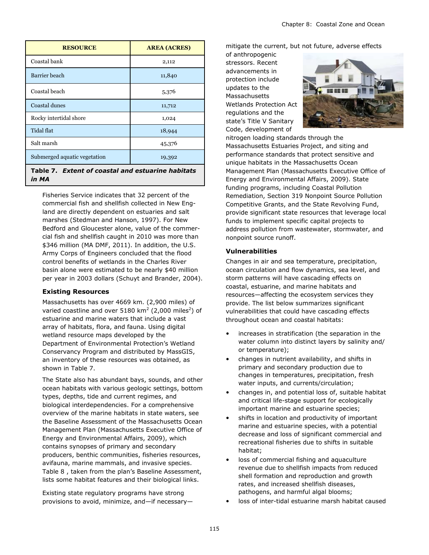| <b>RESOURCE</b>                                            | <b>AREA (ACRES)</b> |  |
|------------------------------------------------------------|---------------------|--|
| Coastal bank                                               | 2,112               |  |
| Barrier beach                                              | 11,840              |  |
| Coastal beach                                              | 5,376               |  |
| Coastal dunes                                              | 11,712              |  |
| Rocky intertidal shore                                     | 1,024               |  |
| Tidal flat                                                 | 18,944              |  |
| Salt marsh                                                 | 45,376              |  |
| Submerged aquatic vegetation                               | 19,392              |  |
| Table 7. Extent of coastal and estuarine habitats<br>in MA |                     |  |

Fisheries Service indicates that 32 percent of the commercial fish and shellfish collected in New England are directly dependent on estuaries and salt marshes (Stedman and Hanson, 1997). For New Bedford and Gloucester alone, value of the commercial fish and shellfish caught in 2010 was more than \$346 million (MA DMF, 2011). In addition, the U.S. Army Corps of Engineers concluded that the flood control benefits of wetlands in the Charles River basin alone were estimated to be nearly \$40 million per year in 2003 dollars (Schuyt and Brander, 2004).

#### **Existing Resources**

Massachusetts has over 4669 km. (2,900 miles) of varied coastline and over 5180 km<sup>2</sup> (2,000 miles<sup>2</sup>) of estuarine and marine waters that include a vast array of habitats, flora, and fauna. Using digital wetland resource maps developed by the Department of Environmental Protection's Wetland Conservancy Program and distributed by MassGIS, an inventory of these resources was obtained, as shown in Table 7.

The State also has abundant bays, sounds, and other ocean habitats with various geologic settings, bottom types, depths, tide and current regimes, and biological interdependencies. For a comprehensive overview of the marine habitats in state waters, see the Baseline Assessment of the Massachusetts Ocean Management Plan (Massachusetts Executive Office of Energy and Environmental Affairs, 2009), which contains synopses of primary and secondary producers, benthic communities, fisheries resources, avifauna, marine mammals, and invasive species. Table 8 , taken from the plan's Baseline Assessment, lists some habitat features and their biological links.

Existing state regulatory programs have strong provisions to avoid, minimize, and—if necessarymitigate the current, but not future, adverse effects

of anthropogenic stressors. Recent advancements in protection include updates to the Massachusetts Wetlands Protection Act regulations and the state's Title V Sanitary Code, development of



nitrogen loading standards through the Massachusetts Estuaries Project, and siting and performance standards that protect sensitive and unique habitats in the Massachusetts Ocean Management Plan (Massachusetts Executive Office of Energy and Environmental Affairs, 2009). State funding programs, including Coastal Pollution Remediation, Section 319 Nonpoint Source Pollution Competitive Grants, and the State Revolving Fund, provide significant state resources that leverage local funds to implement specific capital projects to address pollution from wastewater, stormwater, and nonpoint source runoff.

#### **Vulnerabilities**

Changes in air and sea temperature, precipitation, ocean circulation and flow dynamics, sea level, and storm patterns will have cascading effects on coastal, estuarine, and marine habitats and resources—affecting the ecosystem services they provide. The list below summarizes significant vulnerabilities that could have cascading effects throughout ocean and coastal habitats:

- increases in stratification (the separation in the water column into distinct layers by salinity and/ or temperature);
- changes in nutrient availability, and shifts in primary and secondary production due to changes in temperatures, precipitation, fresh water inputs, and currents/circulation;
- changes in, and potential loss of, suitable habitat and critical life-stage support for ecologically important marine and estuarine species;
- shifts in location and productivity of important marine and estuarine species, with a potential decrease and loss of significant commercial and recreational fisheries due to shifts in suitable habitat;
- loss of commercial fishing and aquaculture revenue due to shellfish impacts from reduced shell formation and reproduction and growth rates, and increased shellfish diseases, pathogens, and harmful algal blooms;
- loss of inter-tidal estuarine marsh habitat caused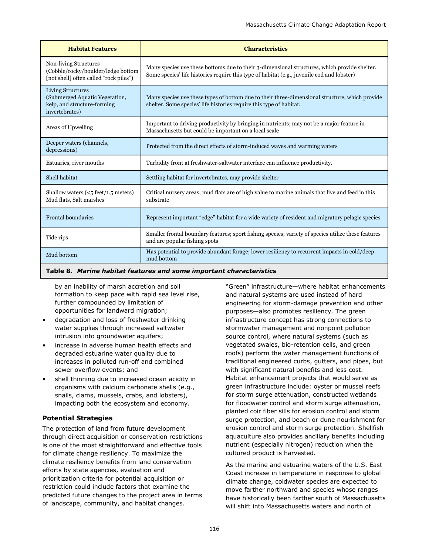| <b>Habitat Features</b>                                                                               | <b>Characteristics</b>                                                                                                                                                                     |
|-------------------------------------------------------------------------------------------------------|--------------------------------------------------------------------------------------------------------------------------------------------------------------------------------------------|
| Non-living Structures<br>(Cobble/rocky/boulder/ledge bottom<br>[not shell] often called "rock piles") | Many species use these bottoms due to their 3-dimensional structures, which provide shelter.<br>Some species' life histories require this type of habitat (e.g., juvenile cod and lobster) |
| Living Structures<br>(Submerged Aquatic Vegetation,<br>kelp, and structure-forming<br>invertebrates)  | Many species use these types of bottom due to their three-dimensional structure, which provide<br>shelter. Some species' life histories require this type of habitat.                      |
| Areas of Upwelling                                                                                    | Important to driving productivity by bringing in nutrients; may not be a major feature in<br>Massachusetts but could be important on a local scale                                         |
| Deeper waters (channels,<br>depressions)                                                              | Protected from the direct effects of storm-induced waves and warming waters                                                                                                                |
| Estuaries, river mouths                                                                               | Turbidity front at freshwater-saltwater interface can influence productivity.                                                                                                              |
| Shell habitat                                                                                         | Settling habitat for invertebrates, may provide shelter                                                                                                                                    |
| Shallow waters $(<5$ feet/1.5 meters)<br>Mud flats, Salt marshes                                      | Critical nursery areas; mud flats are of high value to marine animals that live and feed in this<br>substrate                                                                              |
| <b>Frontal boundaries</b>                                                                             | Represent important "edge" habitat for a wide variety of resident and migratory pelagic species                                                                                            |
| Tide rips                                                                                             | Smaller frontal boundary features; sport fishing species; variety of species utilize these features<br>and are popular fishing spots                                                       |
| Mud bottom                                                                                            | Has potential to provide abundant forage; lower resiliency to recurrent impacts in cold/deep<br>mud bottom                                                                                 |

#### **Table 8.** *Marine habitat features and some important characteristics*

by an inability of marsh accretion and soil formation to keep pace with rapid sea level rise, further compounded by limitation of opportunities for landward migration;

- degradation and loss of freshwater drinking water supplies through increased saltwater intrusion into groundwater aquifers;
- increase in adverse human health effects and degraded estuarine water quality due to increases in polluted run-off and combined sewer overflow events; and
- shell thinning due to increased ocean acidity in organisms with calcium carbonate shells (e.g., snails, clams, mussels, crabs, and lobsters), impacting both the ecosystem and economy.

#### **Potential Strategies**

The protection of land from future development through direct acquisition or conservation restrictions is one of the most straightforward and effective tools for climate change resiliency. To maximize the climate resiliency benefits from land conservation efforts by state agencies, evaluation and prioritization criteria for potential acquisition or restriction could include factors that examine the predicted future changes to the project area in terms of landscape, community, and habitat changes.

―Green‖ infrastructure—where habitat enhancements and natural systems are used instead of hard engineering for storm-damage prevention and other purposes—also promotes resiliency. The green infrastructure concept has strong connections to stormwater management and nonpoint pollution source control, where natural systems (such as vegetated swales, bio-retention cells, and green roofs) perform the water management functions of traditional engineered curbs, gutters, and pipes, but with significant natural benefits and less cost. Habitat enhancement projects that would serve as green infrastructure include: oyster or mussel reefs for storm surge attenuation, constructed wetlands for floodwater control and storm surge attenuation, planted coir fiber sills for erosion control and storm surge protection, and beach or dune nourishment for erosion control and storm surge protection. Shellfish aquaculture also provides ancillary benefits including nutrient (especially nitrogen) reduction when the cultured product is harvested.

As the marine and estuarine waters of the U.S. East Coast increase in temperature in response to global climate change, coldwater species are expected to move farther northward and species whose ranges have historically been farther south of Massachusetts will shift into Massachusetts waters and north of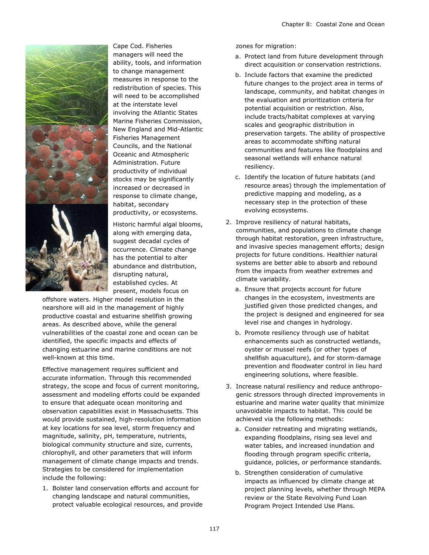

Cape Cod. Fisheries managers will need the ability, tools, and information to change management measures in response to the redistribution of species. This will need to be accomplished at the interstate level involving the Atlantic States Marine Fisheries Commission, New England and Mid-Atlantic Fisheries Management Councils, and the National Oceanic and Atmospheric Administration. Future productivity of individual stocks may be significantly increased or decreased in response to climate change, habitat, secondary productivity, or ecosystems.

Historic harmful algal blooms, along with emerging data, suggest decadal cycles of occurrence. Climate change has the potential to alter abundance and distribution, disrupting natural, established cycles. At present, models focus on

offshore waters. Higher model resolution in the nearshore will aid in the management of highly productive coastal and estuarine shellfish growing areas. As described above, while the general vulnerabilities of the coastal zone and ocean can be identified, the specific impacts and effects of changing estuarine and marine conditions are not well-known at this time.

Effective management requires sufficient and accurate information. Through this recommended strategy, the scope and focus of current monitoring, assessment and modeling efforts could be expanded to ensure that adequate ocean monitoring and observation capabilities exist in Massachusetts. This would provide sustained, high-resolution information at key locations for sea level, storm frequency and magnitude, salinity, pH, temperature, nutrients, biological community structure and size, currents, chlorophyll, and other parameters that will inform management of climate change impacts and trends. Strategies to be considered for implementation include the following:

1. Bolster land conservation efforts and account for changing landscape and natural communities, protect valuable ecological resources, and provide zones for migration:

- a. Protect land from future development through direct acquisition or conservation restrictions.
- b. Include factors that examine the predicted future changes to the project area in terms of landscape, community, and habitat changes in the evaluation and prioritization criteria for potential acquisition or restriction. Also, include tracts/habitat complexes at varying scales and geographic distribution in preservation targets. The ability of prospective areas to accommodate shifting natural communities and features like floodplains and seasonal wetlands will enhance natural resiliency.
- c. Identify the location of future habitats (and resource areas) through the implementation of predictive mapping and modeling, as a necessary step in the protection of these evolving ecosystems.
- 2. Improve resiliency of natural habitats, communities, and populations to climate change through habitat restoration, green infrastructure, and invasive species management efforts; design projects for future conditions. Healthier natural systems are better able to absorb and rebound from the impacts from weather extremes and climate variability.
	- a. Ensure that projects account for future changes in the ecosystem, investments are justified given those predicted changes, and the project is designed and engineered for sea level rise and changes in hydrology.
	- b. Promote resiliency through use of habitat enhancements such as constructed wetlands, oyster or mussel reefs (or other types of shellfish aquaculture), and for storm-damage prevention and floodwater control in lieu hard engineering solutions, where feasible.
- 3. Increase natural resiliency and reduce anthropogenic stressors through directed improvements in estuarine and marine water quality that minimize unavoidable impacts to habitat. This could be achieved via the following methods:
	- a. Consider retreating and migrating wetlands, expanding floodplains, rising sea level and water tables, and increased inundation and flooding through program specific criteria, guidance, policies, or performance standards.
	- b. Strengthen consideration of cumulative impacts as influenced by climate change at project planning levels, whether through MEPA review or the State Revolving Fund Loan Program Project Intended Use Plans.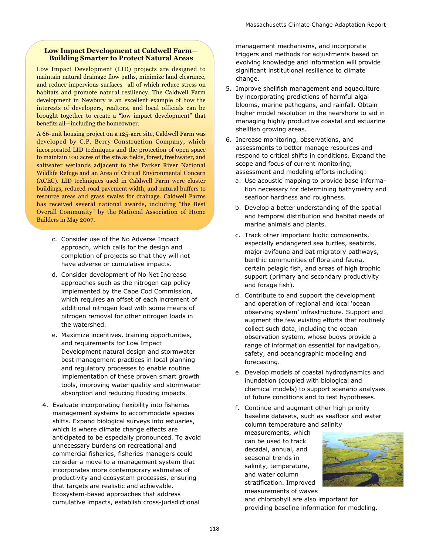#### **Low Impact Development at Caldwell Farm— Building Smarter to Protect Natural Areas**

Low Impact Development (LID) projects are designed to maintain natural drainage flow paths, minimize land clearance, and reduce impervious surfaces—all of which reduce stress on habitats and promote natural resiliency. The Caldwell Farm development in Newbury is an excellent example of how the interests of developers, realtors, and local officials can be brought together to create a "low impact development" that benefits all—including the homeowner.

A 66-unit housing project on a 125-acre site, Caldwell Farm was developed by C.P. Berry Construction Company, which incorporated LID techniques and the protection of open space to maintain 100 acres of the site as fields, forest, freshwater, and saltwater wetlands adjacent to the Parker River National Wildlife Refuge and an Area of Critical Environmental Concern (ACEC). LID techniques used in Caldwell Farm were cluster buildings, reduced road pavement width, and natural buffers to resource areas and grass swales for drainage. Caldwell Farms has received several national awards, including "the Best Overall Community" by the National Association of Home Builders in May 2007.

- c. Consider use of the No Adverse Impact approach, which calls for the design and completion of projects so that they will not have adverse or cumulative impacts.
- d. Consider development of No Net Increase approaches such as the nitrogen cap policy implemented by the Cape Cod Commission, which requires an offset of each increment of additional nitrogen load with some means of nitrogen removal for other nitrogen loads in the watershed.
- e. Maximize incentives, training opportunities, and requirements for Low Impact Development natural design and stormwater best management practices in local planning and regulatory processes to enable routine implementation of these proven smart growth tools, improving water quality and stormwater absorption and reducing flooding impacts.
- 4. Evaluate incorporating flexibility into fisheries management systems to accommodate species shifts. Expand biological surveys into estuaries, which is where climate change effects are anticipated to be especially pronounced. To avoid unnecessary burdens on recreational and commercial fisheries, fisheries managers could consider a move to a management system that incorporates more contemporary estimates of productivity and ecosystem processes, ensuring that targets are realistic and achievable. Ecosystem-based approaches that address cumulative impacts, establish cross-jurisdictional

management mechanisms, and incorporate triggers and methods for adjustments based on evolving knowledge and information will provide significant institutional resilience to climate change.

- 5. Improve shellfish management and aquaculture by incorporating predictions of harmful algal blooms, marine pathogens, and rainfall. Obtain higher model resolution in the nearshore to aid in managing highly productive coastal and estuarine shellfish growing areas.
- 6. Increase monitoring, observations, and assessments to better manage resources and respond to critical shifts in conditions. Expand the scope and focus of current monitoring, assessment and modeling efforts including:
	- a. Use acoustic mapping to provide base information necessary for determining bathymetry and seafloor hardness and roughness.
	- b. Develop a better understanding of the spatial and temporal distribution and habitat needs of marine animals and plants.
	- c. Track other important biotic components, especially endangered sea turtles, seabirds, major avifauna and bat migratory pathways, benthic communities of flora and fauna, certain pelagic fish, and areas of high trophic support (primary and secondary productivity and forage fish).
	- d. Contribute to and support the development and operation of regional and local 'ocean observing system' infrastructure. Support and augment the few existing efforts that routinely collect such data, including the ocean observation system, whose buoys provide a range of information essential for navigation, safety, and oceanographic modeling and forecasting.
	- e. Develop models of coastal hydrodynamics and inundation (coupled with biological and chemical models) to support scenario analyses of future conditions and to test hypotheses.
	- f. Continue and augment other high priority baseline datasets, such as seafloor and water column temperature and salinity

measurements, which can be used to track decadal, annual, and seasonal trends in salinity, temperature, and water column stratification. Improved measurements of waves



and chlorophyll are also important for providing baseline information for modeling.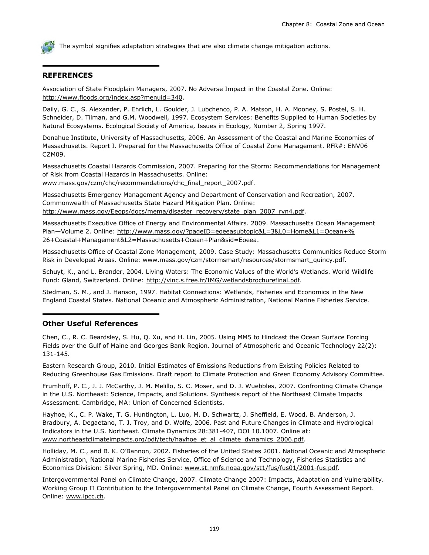The symbol signifies adaptation strategies that are also climate change mitigation actions.

#### **REFERENCES**

Association of State Floodplain Managers, 2007. No Adverse Impact in the Coastal Zone. Online: [http://www.floods.org/index.asp?menuid=340.](http://www.floods.org/index.asp?menuid=340)

Daily, G. C., S. Alexander, P. Ehrlich, L. Goulder, J. Lubchenco, P. A. Matson, H. A. Mooney, S. Postel, S. H. Schneider, D. Tilman, and G.M. Woodwell, 1997. Ecosystem Services: Benefits Supplied to Human Societies by Natural Ecosystems. Ecological Society of America, Issues in Ecology, Number 2, Spring 1997.

Donahue Institute, University of Massachusetts, 2006. An Assessment of the Coastal and Marine Economies of Massachusetts. Report I. Prepared for the Massachusetts Office of Coastal Zone Management. RFR#: ENV06 CZM09.

Massachusetts Coastal Hazards Commission, 2007. Preparing for the Storm: Recommendations for Management of Risk from Coastal Hazards in Massachusetts. Online:

[www.mass.gov/czm/chc/recommendations/chc\\_final\\_report\\_2007.pdf.](http://www.mass.gov/czm/chc/recommendations/chc_final_report_2007.pdf)

Massachusetts Emergency Management Agency and Department of Conservation and Recreation, 2007. Commonwealth of Massachusetts State Hazard Mitigation Plan. Online: [http://www.mass.gov/Eeops/docs/mema/disaster\\_recovery/state\\_plan\\_2007\\_rvn4.pdf.](http://www.mass.gov/Eeops/docs/mema/disaster_recovery/state_plan_2007_rvn4.pdf)

Massachusetts Executive Office of Energy and Environmental Affairs. 2009. Massachusetts Ocean Management Plan-Volume 2. Online: [http://www.mass.gov/?pageID=eoeeasubtopic&L=3&L0=Home&L1=Ocean+%](http://www.mass.gov/?pageID=eoeeasubtopic&L=3&L0=Home&L1=Ocean+%26+Coastal+Management&L2=Massachusetts+Ocean+Plan&sid=Eoeea) [26+Coastal+Management&L2=Massachusetts+Ocean+Plan&sid=Eoeea.](http://www.mass.gov/?pageID=eoeeasubtopic&L=3&L0=Home&L1=Ocean+%26+Coastal+Management&L2=Massachusetts+Ocean+Plan&sid=Eoeea)

Massachusetts Office of Coastal Zone Management, 2009. Case Study: Massachusetts Communities Reduce Storm Risk in Developed Areas. Online: [www.mass.gov/czm/stormsmart/resources/stormsmart\\_quincy.pdf.](http://www.mass.gov/czm/stormsmart/resources/stormsmart_quincy.pdf)

Schuyt, K., and L. Brander, 2004. Living Waters: The Economic Values of the World's Wetlands. World Wildlife Fund: Gland, Switzerland. Online: [http://vinc.s.free.fr/IMG/wetlandsbrochurefinal.pdf.](http://vinc.s.free.fr/IMG/wetlandsbrochurefinal.pdf)

Stedman, S. M., and J. Hanson, 1997. Habitat Connections: Wetlands, Fisheries and Economics in the New England Coastal States. National Oceanic and Atmospheric Administration, National Marine Fisheries Service.

#### **Other Useful References**

Chen, C., R. C. Beardsley, S. Hu, Q. Xu, and H. Lin, 2005. Using MM5 to Hindcast the Ocean Surface Forcing Fields over the Gulf of Maine and Georges Bank Region. Journal of Atmospheric and Oceanic Technology 22(2): 131-145.

Eastern Research Group, 2010. Initial Estimates of Emissions Reductions from Existing Policies Related to Reducing Greenhouse Gas Emissions. Draft report to Climate Protection and Green Economy Advisory Committee.

Frumhoff, P. C., J. J. McCarthy, J. M. Melillo, S. C. Moser, and D. J. Wuebbles, 2007. Confronting Climate Change in the U.S. Northeast: Science, Impacts, and Solutions. Synthesis report of the Northeast Climate Impacts Assessment. Cambridge, MA: Union of Concerned Scientists.

Hayhoe, K., C. P. Wake, T. G. Huntington, L. Luo, M. D. Schwartz, J. Sheffield, E. Wood, B. Anderson, J. Bradbury, A. Degaetano, T. J. Troy, and D. Wolfe, 2006. Past and Future Changes in Climate and Hydrological Indicators in the U.S. Northeast. Climate Dynamics 28:381-407, DOI 10.1007. Online at: [www.northeastclimateimpacts.org/pdf/tech/hayhoe\\_et\\_al\\_climate\\_dynamics\\_2006.pdf.](http://www.northeastclimateimpacts.org/pdf/tech/hayhoe_et_al_climate_dynamics_2006.pdf)

Holliday, M. C., and B. K. O'Bannon, 2002. Fisheries of the United States 2001. National Oceanic and Atmospheric Administration, National Marine Fisheries Service, Office of Science and Technology, Fisheries Statistics and Economics Division: Silver Spring, MD. Online: [www.st.nmfs.noaa.gov/st1/fus/fus01/2001-fus.pdf.](http://www.st.nmfs.noaa.gov/st1/fus/fus01/2001-fus.pdf)

Intergovernmental Panel on Climate Change, 2007. Climate Change 2007: Impacts, Adaptation and Vulnerability. Working Group II Contribution to the Intergovernmental Panel on Climate Change, Fourth Assessment Report. Online: [www.ipcc.ch.](http://www.ipcc.ch)